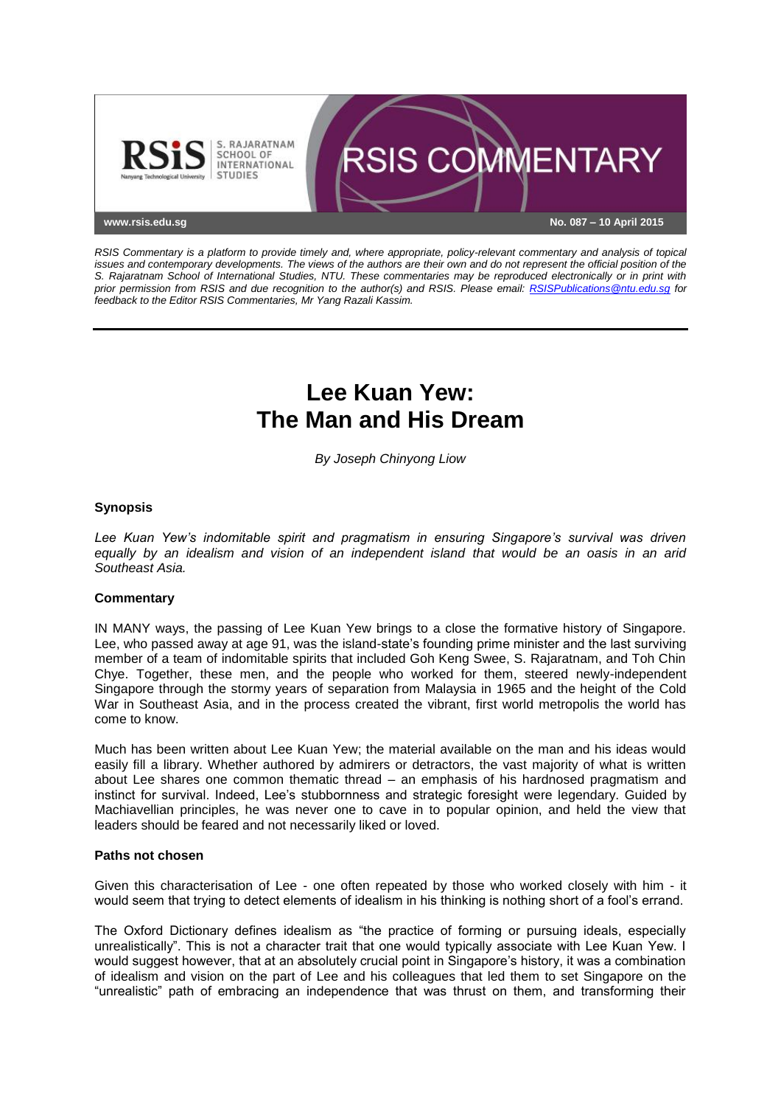

*RSIS Commentary is a platform to provide timely and, where appropriate, policy-relevant commentary and analysis of topical issues and contemporary developments. The views of the authors are their own and do not represent the official position of the S. Rajaratnam School of International Studies, NTU. These commentaries may be reproduced electronically or in print with prior permission from RSIS and due recognition to the author(s) and RSIS. Please email: [RSISPublications@ntu.edu.sg](mailto:RSISPublications@ntu.edu.sg) for feedback to the Editor RSIS Commentaries, Mr Yang Razali Kassim.*

# **Lee Kuan Yew: The Man and His Dream**

*By Joseph Chinyong Liow*

## **Synopsis**

*Lee Kuan Yew's indomitable spirit and pragmatism in ensuring Singapore's survival was driven equally by an idealism and vision of an independent island that would be an oasis in an arid Southeast Asia.*

### **Commentary**

IN MANY ways, the passing of Lee Kuan Yew brings to a close the formative history of Singapore. Lee, who passed away at age 91, was the island-state's founding prime minister and the last surviving member of a team of indomitable spirits that included Goh Keng Swee, S. Rajaratnam, and Toh Chin Chye. Together, these men, and the people who worked for them, steered newly-independent Singapore through the stormy years of separation from Malaysia in 1965 and the height of the Cold War in Southeast Asia, and in the process created the vibrant, first world metropolis the world has come to know.

Much has been written about Lee Kuan Yew; the material available on the man and his ideas would easily fill a library. Whether authored by admirers or detractors, the vast majority of what is written about Lee shares one common thematic thread – an emphasis of his hardnosed pragmatism and instinct for survival. Indeed, Lee's stubbornness and strategic foresight were legendary. Guided by Machiavellian principles, he was never one to cave in to popular opinion, and held the view that leaders should be feared and not necessarily liked or loved.

### **Paths not chosen**

Given this characterisation of Lee - one often repeated by those who worked closely with him - it would seem that trying to detect elements of idealism in his thinking is nothing short of a fool's errand.

The Oxford Dictionary defines idealism as "the practice of forming or pursuing ideals, especially unrealistically". This is not a character trait that one would typically associate with Lee Kuan Yew. I would suggest however, that at an absolutely crucial point in Singapore's history, it was a combination of idealism and vision on the part of Lee and his colleagues that led them to set Singapore on the "unrealistic" path of embracing an independence that was thrust on them, and transforming their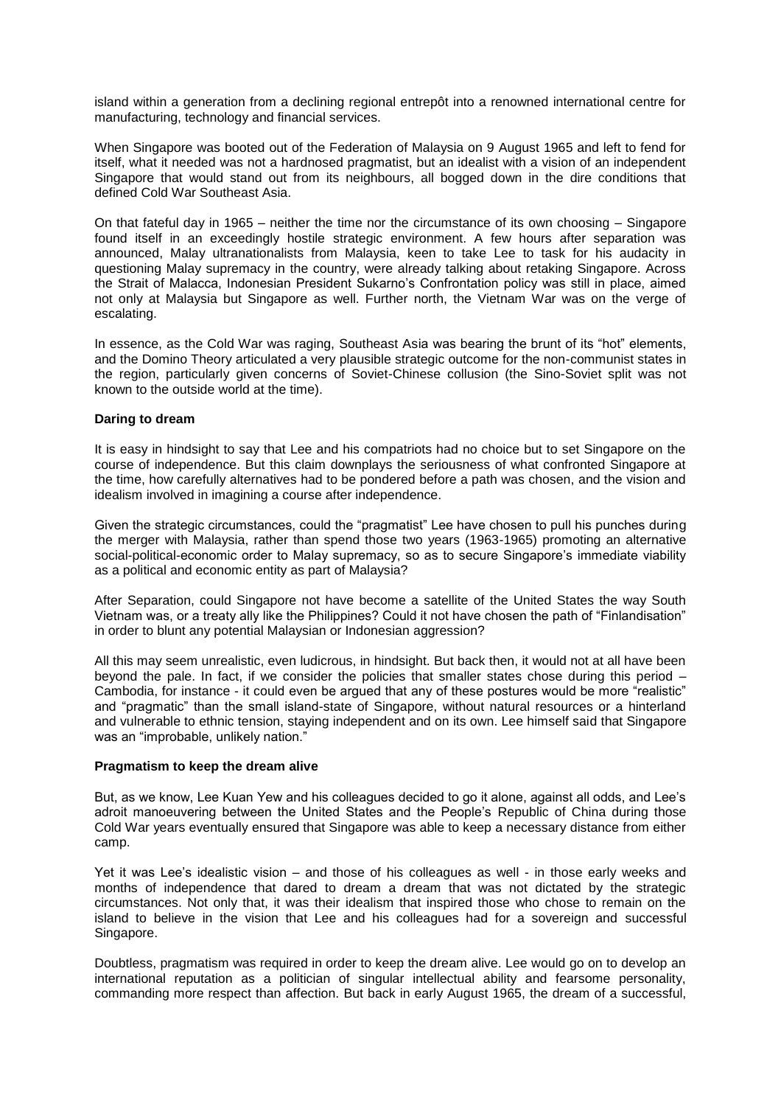island within a generation from a declining regional entrepôt into a renowned international centre for manufacturing, technology and financial services.

When Singapore was booted out of the Federation of Malaysia on 9 August 1965 and left to fend for itself, what it needed was not a hardnosed pragmatist, but an idealist with a vision of an independent Singapore that would stand out from its neighbours, all bogged down in the dire conditions that defined Cold War Southeast Asia.

On that fateful day in 1965 – neither the time nor the circumstance of its own choosing – Singapore found itself in an exceedingly hostile strategic environment. A few hours after separation was announced, Malay ultranationalists from Malaysia, keen to take Lee to task for his audacity in questioning Malay supremacy in the country, were already talking about retaking Singapore. Across the Strait of Malacca, Indonesian President Sukarno's Confrontation policy was still in place, aimed not only at Malaysia but Singapore as well. Further north, the Vietnam War was on the verge of escalating.

In essence, as the Cold War was raging, Southeast Asia was bearing the brunt of its "hot" elements, and the Domino Theory articulated a very plausible strategic outcome for the non-communist states in the region, particularly given concerns of Soviet-Chinese collusion (the Sino-Soviet split was not known to the outside world at the time).

### **Daring to dream**

It is easy in hindsight to say that Lee and his compatriots had no choice but to set Singapore on the course of independence. But this claim downplays the seriousness of what confronted Singapore at the time, how carefully alternatives had to be pondered before a path was chosen, and the vision and idealism involved in imagining a course after independence.

Given the strategic circumstances, could the "pragmatist" Lee have chosen to pull his punches during the merger with Malaysia, rather than spend those two years (1963-1965) promoting an alternative social-political-economic order to Malay supremacy, so as to secure Singapore's immediate viability as a political and economic entity as part of Malaysia?

After Separation, could Singapore not have become a satellite of the United States the way South Vietnam was, or a treaty ally like the Philippines? Could it not have chosen the path of "Finlandisation" in order to blunt any potential Malaysian or Indonesian aggression?

All this may seem unrealistic, even ludicrous, in hindsight. But back then, it would not at all have been beyond the pale. In fact, if we consider the policies that smaller states chose during this period -Cambodia, for instance - it could even be argued that any of these postures would be more "realistic" and "pragmatic" than the small island-state of Singapore, without natural resources or a hinterland and vulnerable to ethnic tension, staying independent and on its own. Lee himself said that Singapore was an "improbable, unlikely nation."

### **Pragmatism to keep the dream alive**

But, as we know, Lee Kuan Yew and his colleagues decided to go it alone, against all odds, and Lee's adroit manoeuvering between the United States and the People's Republic of China during those Cold War years eventually ensured that Singapore was able to keep a necessary distance from either camp.

Yet it was Lee's idealistic vision – and those of his colleagues as well - in those early weeks and months of independence that dared to dream a dream that was not dictated by the strategic circumstances. Not only that, it was their idealism that inspired those who chose to remain on the island to believe in the vision that Lee and his colleagues had for a sovereign and successful Singapore.

Doubtless, pragmatism was required in order to keep the dream alive. Lee would go on to develop an international reputation as a politician of singular intellectual ability and fearsome personality, commanding more respect than affection. But back in early August 1965, the dream of a successful,